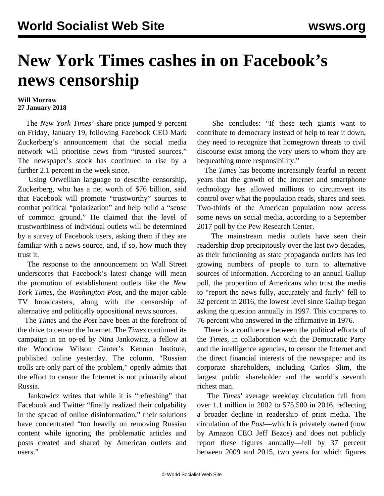## **New York Times cashes in on Facebook's news censorship**

## **Will Morrow 27 January 2018**

 The *New York Times'* share price jumped 9 percent on Friday, January 19, following Facebook CEO Mark Zuckerberg's announcement that the social media network will prioritise news from "trusted sources." The newspaper's stock has continued to rise by a further 2.1 percent in the week since.

 Using Orwellian language to describe censorship, Zuckerberg, who has a net worth of \$76 billion, said that Facebook will promote "trustworthy" sources to combat political "polarization" and help build a "sense of common ground." He claimed that the level of trustworthiness of individual outlets will be determined by a survey of Facebook users, asking them if they are familiar with a news source, and, if so, how much they trust it.

 The response to the announcement on Wall Street underscores that Facebook's latest change will mean the promotion of establishment outlets like the *New York Times*, the *Washington Post*, and the major cable TV broadcasters, along with the censorship of alternative and politically oppositional news sources.

 The *Times* and the *Post* have been at the forefront of the drive to censor the Internet. The *Times* continued its campaign in an op-ed by Nina Jankowicz, a fellow at the Woodrow Wilson Center's Kennan Institute, published online yesterday. The column, "Russian trolls are only part of the problem," openly admits that the effort to censor the Internet is not primarily about Russia.

 Jankowicz writes that while it is "refreshing" that Facebook and Twitter "finally realized their culpability in the spread of online disinformation," their solutions have concentrated "too heavily on removing Russian content while ignoring the problematic articles and posts created and shared by American outlets and users."

 She concludes: "If these tech giants want to contribute to democracy instead of help to tear it down, they need to recognize that homegrown threats to civil discourse exist among the very users to whom they are bequeathing more responsibility."

 The *Times* has become increasingly fearful in recent years that the growth of the Internet and smartphone technology has allowed millions to circumvent its control over what the population reads, shares and sees. Two-thirds of the American population now access some news on social media, according to a September 2017 poll by the Pew Research Center.

 The mainstream media outlets have seen their readership drop precipitously over the last two decades, as their functioning as state propaganda outlets has led growing numbers of people to turn to alternative sources of information. According to an annual Gallup poll, the proportion of Americans who trust the media to "report the news fully, accurately and fairly" fell to 32 percent in 2016, the lowest level since Gallup began asking the question annually in 1997. This compares to 76 percent who answered in the affirmative in 1976.

 There is a confluence between the political efforts of the *Times*, in collaboration with the Democratic Party and the intelligence agencies, to censor the Internet and the direct financial interests of the newspaper and its corporate shareholders, including Carlos Slim, the largest public shareholder and the world's seventh richest man.

 The *Times'* average weekday circulation fell from over 1.1 million in 2002 to 575,500 in 2016, reflecting a broader decline in readership of print media. The circulation of the *Post*—which is privately owned (now by Amazon CEO Jeff Bezos) and does not publicly report these figures annually—fell by 37 percent between 2009 and 2015, two years for which figures